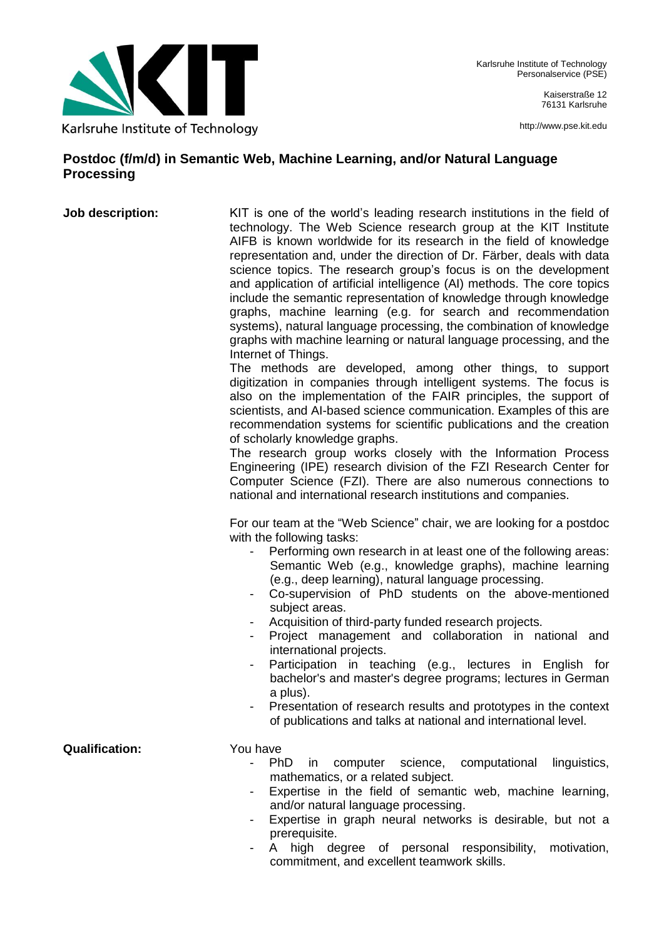

Kaiserstraße 12 76131 Karlsruhe

http://www.pse.kit.edu

## **Postdoc (f/m/d) in Semantic Web, Machine Learning, and/or Natural Language Processing**

**Job description:** KIT is one of the world's leading research institutions in the field of technology. The Web Science research group at the KIT Institute AIFB is known worldwide for its research in the field of knowledge representation and, under the direction of Dr. Färber, deals with data science topics. The research group's focus is on the development and application of artificial intelligence (AI) methods. The core topics include the semantic representation of knowledge through knowledge graphs, machine learning (e.g. for search and recommendation systems), natural language processing, the combination of knowledge graphs with machine learning or natural language processing, and the Internet of Things.

The methods are developed, among other things, to support digitization in companies through intelligent systems. The focus is also on the implementation of the FAIR principles, the support of scientists, and AI-based science communication. Examples of this are recommendation systems for scientific publications and the creation of scholarly knowledge graphs.

The research group works closely with the Information Process Engineering (IPE) research division of the FZI Research Center for Computer Science (FZI). There are also numerous connections to national and international research institutions and companies.

For our team at the "Web Science" chair, we are looking for a postdoc with the following tasks:

- Performing own research in at least one of the following areas: Semantic Web (e.g., knowledge graphs), machine learning (e.g., deep learning), natural language processing.
- Co-supervision of PhD students on the above-mentioned subject areas.
- Acquisition of third-party funded research projects.
- Project management and collaboration in national and international projects.
- Participation in teaching (e.g., lectures in English for bachelor's and master's degree programs; lectures in German a plus).
- Presentation of research results and prototypes in the context of publications and talks at national and international level.

**Qualification:** You have

- PhD in computer science, computational linguistics, mathematics, or a related subject.
- Expertise in the field of semantic web, machine learning, and/or natural language processing.
- Expertise in graph neural networks is desirable, but not a prerequisite.
- A high degree of personal responsibility, motivation, commitment, and excellent teamwork skills.